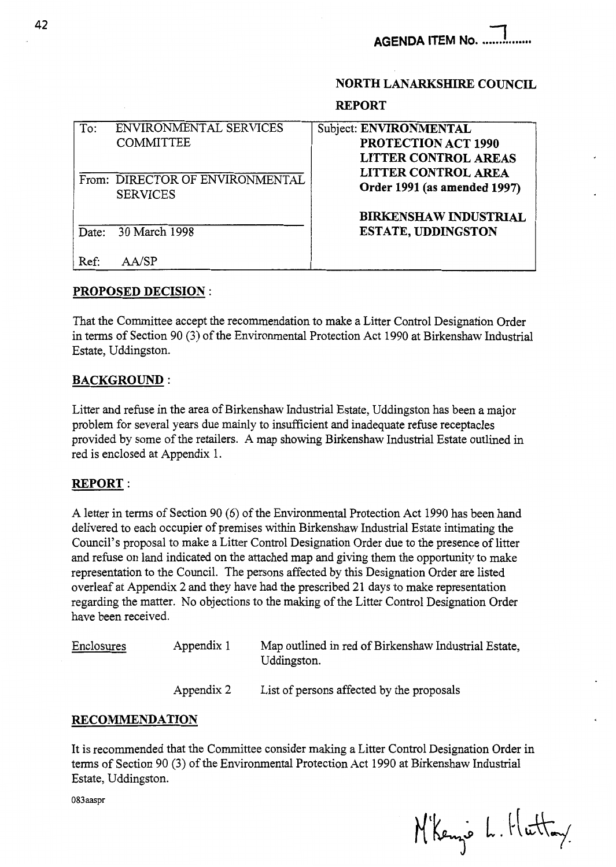# **NORTH LANARKSHIRE COUNCIL**

### **REPORT**

| To:   | ENVIRONMENTAL SERVICES          | Subject: ENVIRONMENTAL       |
|-------|---------------------------------|------------------------------|
|       | <b>COMMITTEE</b>                | <b>PROTECTION ACT 1990</b>   |
|       |                                 | <b>LITTER CONTROL AREAS</b>  |
|       | From: DIRECTOR OF ENVIRONMENTAL | <b>LITTER CONTROL AREA</b>   |
|       | <b>SERVICES</b>                 | Order 1991 (as amended 1997) |
|       |                                 | <b>BIRKENSHAW INDUSTRIAL</b> |
| Date: | 30 March 1998                   | <b>ESTATE, UDDINGSTON</b>    |
| Ref:  | A A/SP                          |                              |

## **PROPOSED DECISION** :

That the Committee accept the recommendation to make a Litter Control Designation Order in terms of Section 90 (3) of the Environmental Protection Act 1990 at Birkenshaw Industrial Estate, Uddingston.

## **BACKGROUND:**

Litter and refuse in the area of Birkenshaw Industrial Estate, Uddingston has been a major problem for several years due mainly to insufficient and inadequate refuse receptacles provided by some of the retailers. **A** map showing Birkenshaw Industrial Estate outlined in red is enclosed at Appendix 1.

## **REPORT** :

**A** letter in terms of Section 90 (6) of the Environmental Protection Act 1990 has been hand delivered to each occupier of premises within Birkenshaw Industrial Estate intimating the Council's proposal to make a Litter Control Designation Order due to the presence of litter and refuse on land indicated on the attached map and giving them the opportunity to make representation to the Council. The persons affected by this Designation Order are listed overleaf at Appendix 2 and they have had the prescribed 21 days to make representation regarding the matter. No objections to the making of the Litter Control Designation Order have been received.

Enclosures Appendix 1 Map outlined in red of Birkenshaw Industrial Estate, Uddingston. Appendix 2 List of persons affected by the proposals

## **RECOMMENDATION**

It is recommended that the Committee consider making a Litter Control Designation Order in terms of Section 90 (3) of the Environmental Protection Act 1990 at Birkenshaw Industrial Estate, Uddingston.

**083aaspr** 

N'Kenze L. Huttay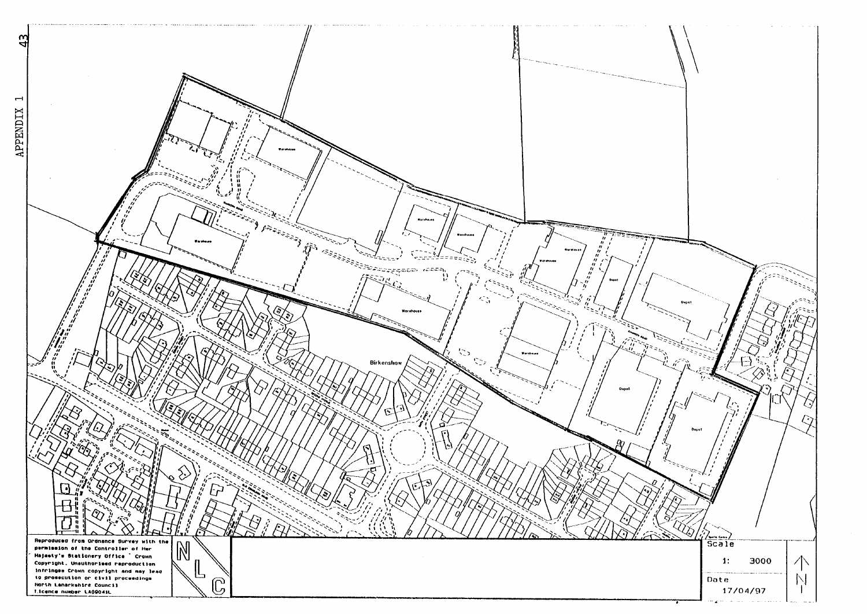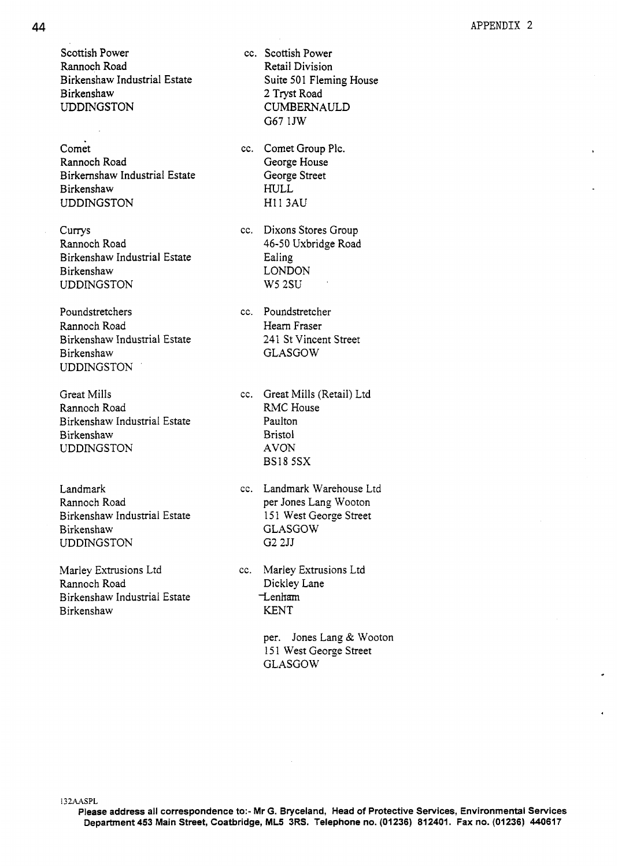Scottish Power Rannoch Road Birkenshaw Industrial Estate Birkenshaw UDDMGSTON

Comet Rannoch Road Birkernshaw Industrial Estate Birkenshaw UDDINGSTON

**Currys** Rannoch Road Birkenshaw Industrial Estate Birkenshaw UDDINGSTON

Poundstretchers Rannoch Road Birkenshaw Industrial Estate **Birkenshaw** UDDINGSTON '

Great Mills Rannoch Road Birkenshaw Industrial Estate **Birkenshaw** UDDINGSTON

Landmark Rannoch Road Birkenshaw Industrial Estate **Birkenshaw** UDDINGSTON

Marley Extrusions Ltd Rannoch Road Birkenshaw Industrial Estate Birkenshaw

cc. Scottish Power Retail Division Suite 501 Fleming House **2** Tryst Road CUMBERNAULD G67 1JW

cc. Comet Group Plc. George House George Street HULL **HI1 3AU** 

cc. Dixons Stores Group 46-50 Uxbridge Road Ealing LONDON w52su '

cc. Poundstretcher Hearn Fraser 241 St Vincent Street GLASGOW

cc. Great Mills (Retail) Ltd **RMC** House Paulton Bristol AVON **BSI8** 5SX

cc. Landmark Warehouse Ltd per Jones Lang Wooton 151 West George Street GLASGOW G2 2JJ

cc. Marley Extrusions Ltd Dickley Lane  $t$ <sub>c</sub>enham KENT

> per. Jones Lang & Wooton 151 West George Street GLASGOW

**I32AASPL** 

**Please address all correspondence to:- Mr G. Bryceland, Head of Protective Services, Environmental Services Department 453 Main Street, Coatbridge, ML5 3RS. Telephone no. (01236) 812401. Fax no. (01236) 440617**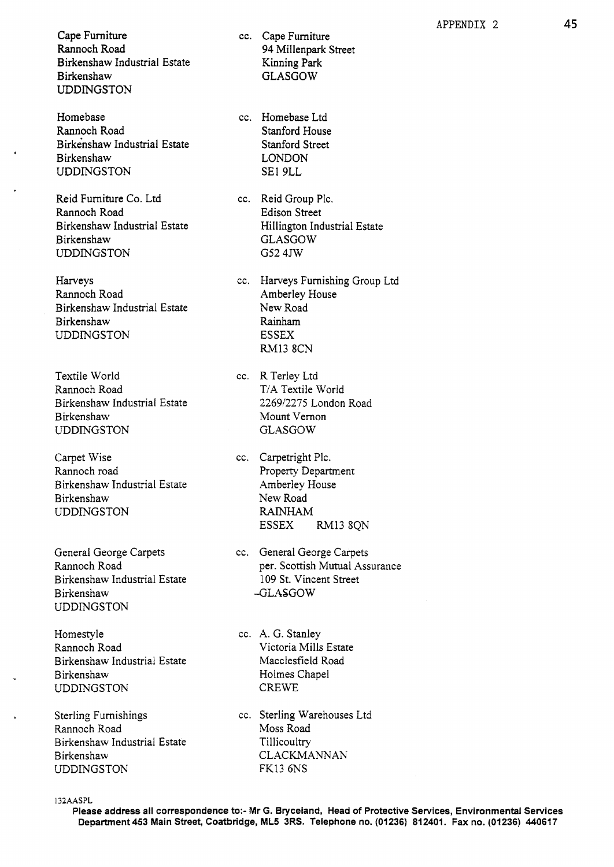Cape Furniture Rannoch Road Birkenshaw Industrial Estate Birkenshaw UDDINGSTON

Homebase Rannoch Road Birkenshaw Industrial Estate Birkenshaw UDDINGSTON

.

Reid Furniture Co. Ltd Rannoch Road Birkenshaw Industrial Estate **Birkenshaw** UDDINGSTON

Harveys Rannoch Road Birkenshaw Industrial Estate Birkenshaw UDDINGSTON

Textile World Rannoch Road Birkenshaw Industrial Estate **Birkenshaw** UDDINGSTON

Carpet Wise Rannoch road Birkenshaw Industrial Estate Birkenshaw UDDINGSTON

General George Carpets Rannoch Road Birkenshaw Industrial Estate Birkenshaw UDDINGSTON

Homestyle Rannoch Road Birkenshaw Industrial Estate Birkenshaw UDDINGSTON

Sterling Furnishings Rannoch Road Birkenshaw Industrial Estate **Birkenshaw** UDDINGSTON

- cc. Cape Furniture **94** Millenpark Street Kinning Park GLASGOW
- cc. Homebase Ltd Stanford House Stanford Street LONDON SE1 9LL

cc. Reid Group Plc. Edison Street Hillington Industrial Estate GLASGOW G52 4JW

cc. Harveys Furnishing Group Ltd Amberley House New Road Rainham ESSEX RM13 8CN

cc. R Terley Ltd T/A Textile World 226912275 London Road Mount Vernon GLASGOW

- cc. Carpetright Plc. Property Department Amberley House New Road RAINHAM ESSEX RM13 8QN
- cc. General George Carpets per. Scottish Mutual Assurance 109 St. Vincent Street -GLASGOW

cc. A. G. Stanley Victoria Mills Estate Macclesfield Road Holmes Chapel CREWE

cc. Sterling Warehouses Ltd Moss Road **Tillicoultry** CLACKMANNAN FK13 6NS

**I32AASPL** 

**Please address all correspondence to:- Mr G. Bryceland, Head** *of* **Protective Services, Environmental Services Department453 Main Street, Coatbridge, ML5 3RS. Telephone no. (01236) 812401. Fax no. (01236) 440617**